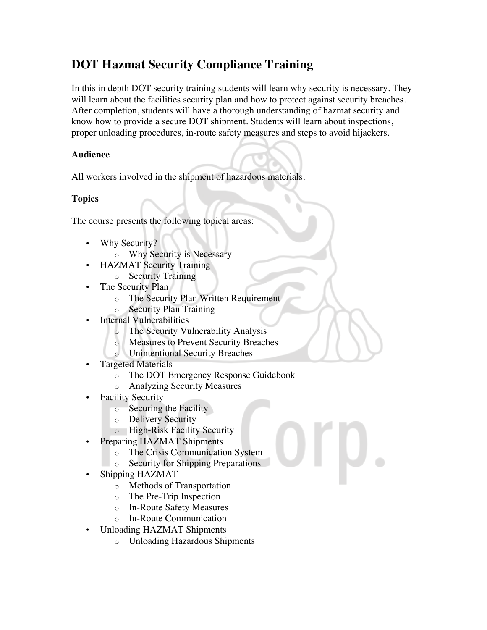# **DOT Hazmat Security Compliance Training**

In this in depth DOT security training students will learn why security is necessary. They will learn about the facilities security plan and how to protect against security breaches. After completion, students will have a thorough understanding of hazmat security and know how to provide a secure DOT shipment. Students will learn about inspections, proper unloading procedures, in-route safety measures and steps to avoid hijackers.

### **Audience**

All workers involved in the shipment of hazardous materials.

## **Topics**

The course presents the following topical areas:

- Why Security?
	- o Why Security is Necessary
- HAZMAT Security Training
	- o Security Training
- The Security Plan
	- o The Security Plan Written Requirement
	- o Security Plan Training
- **Internal Vulnerabilities** 
	- o The Security Vulnerability Analysis
	- o Measures to Prevent Security Breaches
	- o Unintentional Security Breaches
- Targeted Materials
	- o The DOT Emergency Response Guidebook
	- o Analyzing Security Measures
- **Facility Security** 
	- o Securing the Facility
	- o Delivery Security
	- o High-Risk Facility Security
- Preparing HAZMAT Shipments
	- o The Crisis Communication System
	- o Security for Shipping Preparations
- Shipping HAZMAT
	- o Methods of Transportation
	- o The Pre-Trip Inspection
	- o In-Route Safety Measures
	- o In-Route Communication
- Unloading HAZMAT Shipments
	- o Unloading Hazardous Shipments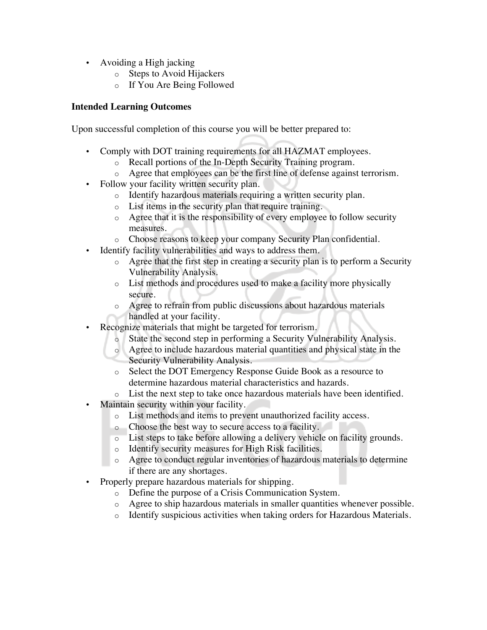- Avoiding a High jacking
	- o Steps to Avoid Hijackers
	- o If You Are Being Followed

#### **Intended Learning Outcomes**

Upon successful completion of this course you will be better prepared to:

- Comply with DOT training requirements for all HAZMAT employees.
	- o Recall portions of the In-Depth Security Training program.
	- o Agree that employees can be the first line of defense against terrorism.
- Follow your facility written security plan.
	- o Identify hazardous materials requiring a written security plan.
	- o List items in the security plan that require training.
	- o Agree that it is the responsibility of every employee to follow security measures.
	- o Choose reasons to keep your company Security Plan confidential.
- Identify facility vulnerabilities and ways to address them.
	- o Agree that the first step in creating a security plan is to perform a Security Vulnerability Analysis.
	- o List methods and procedures used to make a facility more physically secure.
	- o Agree to refrain from public discussions about hazardous materials handled at your facility.
- Recognize materials that might be targeted for terrorism.
	- State the second step in performing a Security Vulnerability Analysis.
	- o Agree to include hazardous material quantities and physical state in the Security Vulnerability Analysis.
	- o Select the DOT Emergency Response Guide Book as a resource to determine hazardous material characteristics and hazards.
	- o List the next step to take once hazardous materials have been identified.
- Maintain security within your facility.
	- o List methods and items to prevent unauthorized facility access.
	- o Choose the best way to secure access to a facility.
	- o List steps to take before allowing a delivery vehicle on facility grounds.
	- o Identify security measures for High Risk facilities.
	- o Agree to conduct regular inventories of hazardous materials to determine if there are any shortages.
- Properly prepare hazardous materials for shipping.
	- o Define the purpose of a Crisis Communication System.
	- o Agree to ship hazardous materials in smaller quantities whenever possible.
	- o Identify suspicious activities when taking orders for Hazardous Materials.